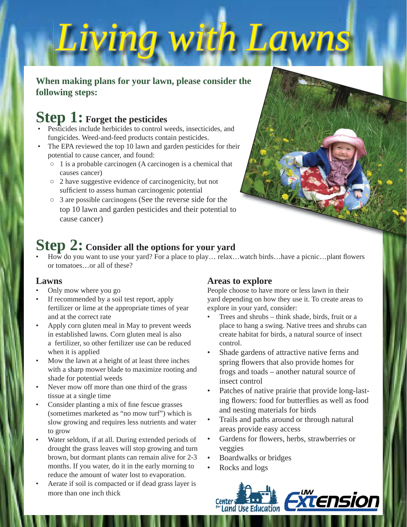# *Living with Lawns iving*

### **When making plans for your lawn, please consider the following steps:**

## **Step 1: Forget the pesticides**

- Pesticides include herbicides to control weeds, insecticides, and fungicides. Weed-and-feed products contain pesticides.
- The EPA reviewed the top 10 lawn and garden pesticides for their potential to cause cancer, and found:
	- 1 is a probable carcinogen (A carcinogen is a chemical that causes cancer)
	- 2 have suggestive evidence of carcinogenicity, but not sufficient to assess human carcinogenic potential
	- 3 are possible carcinogens (See the reverse side for the top 10 lawn and garden pesticides and their potential to cause cancer)

## **Step 2: Consider all the options for your yard**

 $\overline{How}$  do you want to use your yard? For a place to play... relax...watch birds...have a picnic...plant flowers or tomatoes…or all of these?

#### **Lawns**

- Only mow where you go
- If recommended by a soil test report, apply fertilizer or lime at the appropriate times of year and at the correct rate
- Apply corn gluten meal in May to prevent weeds in established lawns. Corn gluten meal is also a fertilizer, so other fertilizer use can be reduced when it is applied
- Mow the lawn at a height of at least three inches with a sharp mower blade to maximize rooting and shade for potential weeds
- Never mow off more than one third of the grass tissue at a single time
- Consider planting a mix of fine fescue grasses (sometimes marketed as "no mow turf") which is slow growing and requires less nutrients and water to grow
- Water seldom, if at all. During extended periods of drought the grass leaves will stop growing and turn brown, but dormant plants can remain alive for 2-3 months. If you water, do it in the early morning to reduce the amount of water lost to evaporation.
- Aerate if soil is compacted or if dead grass layer is more than one inch thick

## **Areas to explore**

People choose to have more or less lawn in their yard depending on how they use it. To create areas to explore in your yard, consider:

- Trees and shrubs think shade, birds, fruit or a place to hang a swing. Native trees and shrubs can create habitat for birds, a natural source of insect control.
- Shade gardens of attractive native ferns and spring flowers that also provide homes for frogs and toads – another natural source of insect control
- Patches of native prairie that provide long-lasting flowers: food for butterflies as well as food and nesting materials for birds
- Trails and paths around or through natural areas provide easy access
- Gardens for flowers, herbs, strawberries or veggies
- Boardwalks or bridges
- Rocks and logs